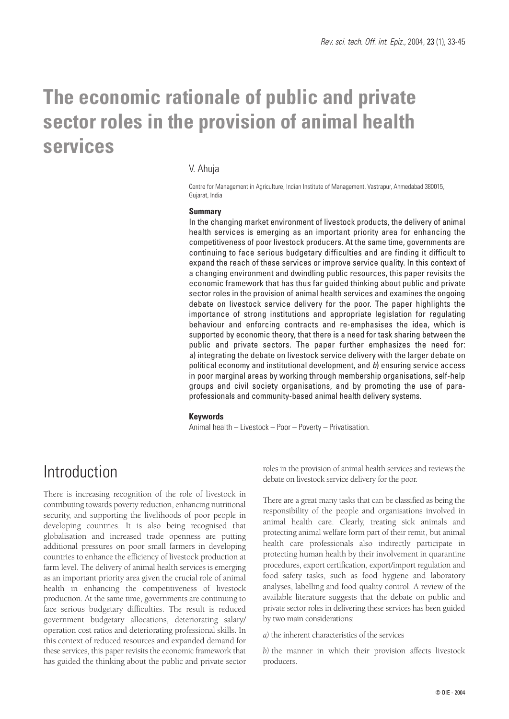# **The economic rationale of public and private sector roles in the provision of animal health services**

### V. Ahuja

Centre for Management in Agriculture, Indian Institute of Management, Vastrapur, Ahmedabad 380015, Gujarat, India

#### **Summary**

In the changing market environment of livestock products, the delivery of animal health services is emerging as an important priority area for enhancing the competitiveness of poor livestock producers. At the same time, governments are continuing to face serious budgetary difficulties and are finding it difficult to expand the reach of these services or improve service quality. In this context of a changing environment and dwindling public resources, this paper revisits the economic framework that has thus far guided thinking about public and private sector roles in the provision of animal health services and examines the ongoing debate on livestock service delivery for the poor. The paper highlights the importance of strong institutions and appropriate legislation for regulating behaviour and enforcing contracts and re-emphasises the idea, which is supported by economic theory, that there is a need for task sharing between the public and private sectors. The paper further emphasizes the need for: *a*) integrating the debate on livestock service delivery with the larger debate on political economy and institutional development, and *b*) ensuring service access in poor marginal areas by working through membership organisations, self-help groups and civil society organisations, and by promoting the use of paraprofessionals and community-based animal health delivery systems.

#### **Keywords**

Animal health – Livestock – Poor – Poverty – Privatisation.

## Introduction

There is increasing recognition of the role of livestock in contributing towards poverty reduction, enhancing nutritional security, and supporting the livelihoods of poor people in developing countries. It is also being recognised that globalisation and increased trade openness are putting additional pressures on poor small farmers in developing countries to enhance the efficiency of livestock production at farm level. The delivery of animal health services is emerging as an important priority area given the crucial role of animal health in enhancing the competitiveness of livestock production. At the same time, governments are continuing to face serious budgetary difficulties. The result is reduced government budgetary allocations, deteriorating salary/ operation cost ratios and deteriorating professional skills. In this context of reduced resources and expanded demand for these services, this paper revisits the economic framework that has guided the thinking about the public and private sector roles in the provision of animal health services and reviews the debate on livestock service delivery for the poor.

There are a great many tasks that can be classified as being the responsibility of the people and organisations involved in animal health care. Clearly, treating sick animals and protecting animal welfare form part of their remit, but animal health care professionals also indirectly participate in protecting human health by their involvement in quarantine procedures, export certification, export/import regulation and food safety tasks, such as food hygiene and laboratory analyses, labelling and food quality control. A review of the available literature suggests that the debate on public and private sector roles in delivering these services has been guided by two main considerations:

*a)* the inherent characteristics of the services

*b)* the manner in which their provision affects livestock producers.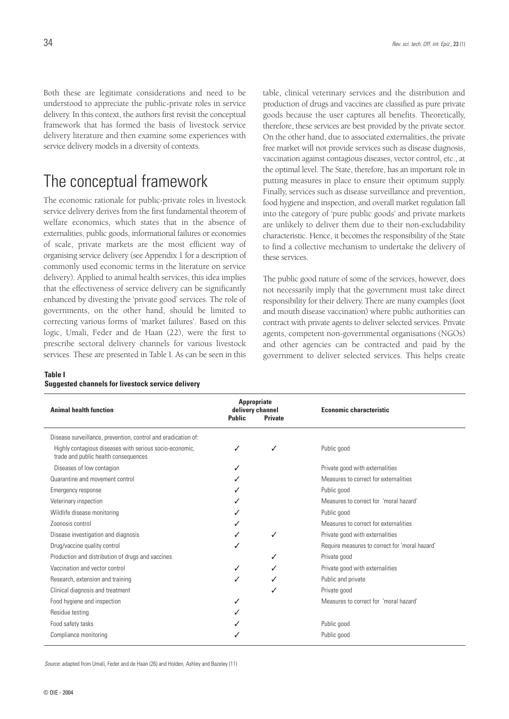Both these are legitimate considerations and need to be understood to appreciate the public-private roles in service delivery. In this context, the authors first revisit the conceptual framework that has formed the basis of livestock service delivery literature and then examine some experiences with service delivery models in a diversity of contexts.

# The conceptual framework

The economic rationale for public-private roles in livestock service delivery derives from the first fundamental theorem of welfare economics, which states that in the absence of externalities, public goods, informational failures or economies of scale, private markets are the most efficient way of organising service delivery (see Appendix 1 for a description of commonly used economic terms in the literature on service delivery). Applied to animal health services, this idea implies that the effectiveness of service delivery can be significantly enhanced by divesting the 'private good' services. The role of governments, on the other hand, should be limited to correcting various forms of 'market failures'. Based on this logic, Umali, Feder and de Haan (22), were the first to prescribe sectoral delivery channels for various livestock services. These are presented in Table I. As can be seen in this

### **Table I**

| Suggested channels for livestock service delivery |  |
|---------------------------------------------------|--|
|---------------------------------------------------|--|

table, clinical veterinary services and the distribution and production of drugs and vaccines are classified as pure private goods because the user captures all benefits. Theoretically, therefore, these services are best provided by the private sector. On the other hand, due to associated externalities, the private free market will not provide services such as disease diagnosis, vaccination against contagious diseases, vector control, etc., at the optimal level. The State, therefore, has an important role in putting measures in place to ensure their optimum supply. Finally, services such as disease surveillance and prevention, food hygiene and inspection, and overall market regulation fall into the category of 'pure public goods' and private markets are unlikely to deliver them due to their non-excludability characteristic. Hence, it becomes the responsibility of the State to find a collective mechanism to undertake the delivery of these services.

The public good nature of some of the services, however, does not necessarily imply that the government must take direct responsibility for their delivery. There are many examples (foot and mouth disease vaccination) where public authorities can contract with private agents to deliver selected services. Private agents, competent non-governmental organisations (NGOs) and other agencies can be contracted and paid by the government to deliver selected services. This helps create

| <b>Animal health function</b>                                                                   | <b>Appropriate</b><br>delivery channel<br><b>Public</b> | <b>Private</b> | <b>Economic characteristic</b>                 |
|-------------------------------------------------------------------------------------------------|---------------------------------------------------------|----------------|------------------------------------------------|
| Disease surveillance, prevention, control and eradication of:                                   |                                                         |                |                                                |
| Highly contagious diseases with serious socio-economic,<br>trade and public health consequences |                                                         | ✓              | Public good                                    |
| Diseases of low contagion                                                                       |                                                         |                | Private good with externalities                |
| Quarantine and movement control                                                                 |                                                         |                | Measures to correct for externalities          |
| Emergency response                                                                              |                                                         |                | Public good                                    |
| Veterinary inspection                                                                           |                                                         |                | Measures to correct for 'moral hazard'         |
| Wildlife disease monitoring                                                                     |                                                         |                | Public good                                    |
| Zoonosis control                                                                                |                                                         |                | Measures to correct for externalities          |
| Disease investigation and diagnosis                                                             |                                                         | ✓              | Private good with externalities                |
| Drug/vaccine quality control                                                                    |                                                         |                | Require measures to correct for 'moral hazard' |
| Production and distribution of drugs and vaccines                                               |                                                         |                | Private good                                   |
| Vaccination and vector control                                                                  |                                                         |                | Private good with externalities                |
| Research, extension and training                                                                |                                                         |                | Public and private                             |
| Clinical diagnosis and treatment                                                                |                                                         |                | Private good                                   |
| Food hygiene and inspection                                                                     |                                                         |                | Measures to correct for 'moral hazard'         |
| Residue testing                                                                                 |                                                         |                |                                                |
| Food safety tasks                                                                               |                                                         |                | Public good                                    |
| Compliance monitoring                                                                           |                                                         |                | Public good                                    |

*Source*: adapted from Umali, Feder and de Haan (26) and Holden, Ashley and Bazeley (11)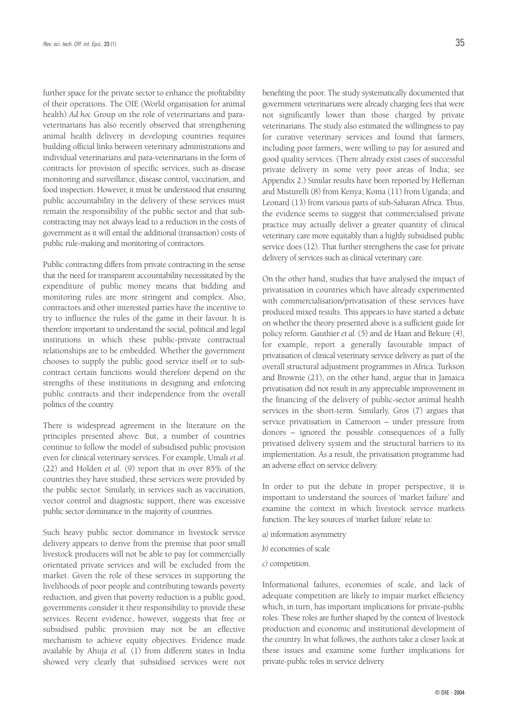further space for the private sector to enhance the profitability of their operations. The OIE (World organisation for animal health) *Ad hoc* Group on the role of veterinarians and paraveterinarians has also recently observed that strengthening animal health delivery in developing countries requires building official links between veterinary administrations and individual veterinarians and para-veterinarians in the form of contracts for provision of specific services, such as disease monitoring and surveillance, disease control, vaccination, and food inspection. However, it must be understood that ensuring public accountability in the delivery of these services must remain the responsibility of the public sector and that subcontracting may not always lead to a reduction in the costs of government as it will entail the additional (transaction) costs of public rule-making and monitoring of contractors.

Public contracting differs from private contracting in the sense that the need for transparent accountability necessitated by the expenditure of public money means that bidding and monitoring rules are more stringent and complex. Also, contractors and other interested parties have the incentive to try to influence the rules of the game in their favour. It is therefore important to understand the social, political and legal institutions in which these public-private contractual relationships are to be embedded. Whether the government chooses to supply the public good service itself or to subcontract certain functions would therefore depend on the strengths of these institutions in designing and enforcing public contracts and their independence from the overall politics of the country.

There is widespread agreement in the literature on the principles presented above. But, a number of countries continue to follow the model of subsidised public provision even for clinical veterinary services. For example, Umali *et al.* (22) and Holden *et al.* (9) report that in over 85% of the countries they have studied, these services were provided by the public sector. Similarly, in services such as vaccination, vector control and diagnostic support, there was excessive public sector dominance in the majority of countries.

Such heavy public sector dominance in livestock service delivery appears to derive from the premise that poor small livestock producers will not be able to pay for commercially orientated private services and will be excluded from the market. Given the role of these services in supporting the livelihoods of poor people and contributing towards poverty reduction, and given that poverty reduction is a public good, governments consider it their responsibility to provide these services. Recent evidence, however, suggests that free or subsidised public provision may not be an effective mechanism to achieve equity objectives. Evidence made available by Ahuja *et al.* (1) from different states in India showed very clearly that subsidised services were not

benefiting the poor. The study systematically documented that government veterinarians were already charging fees that were not significantly lower than those charged by private veterinarians. The study also estimated the willingness to pay for curative veterinary services and found that farmers, including poor farmers, were willing to pay for assured and good quality services. (There already exist cases of successful private delivery in some very poor areas of India; see Appendix 2.) Similar results have been reported by Heffernan and Misturelli (8) from Kenya; Koma (11) from Uganda; and Leonard (13) from various parts of sub-Saharan Africa. Thus, the evidence seems to suggest that commercialised private practice may actually deliver a greater quantity of clinical veterinary care more equitably than a highly subsidised public service does (12). That further strengthens the case for private delivery of services such as clinical veterinary care.

On the other hand, studies that have analysed the impact of privatisation in countries which have already experimented with commercialisation/privatisation of these services have produced mixed results. This appears to have started a debate on whether the theory presented above is a sufficient guide for policy reform. Gauthier *et al.* (5) and de Haan and Bekure (4), for example, report a generally favourable impact of privatisation of clinical veterinary service delivery as part of the overall structural adjustment programmes in Africa. Turkson and Brownie (21), on the other hand, argue that in Jamaica privatisation did not result in any appreciable improvement in the financing of the delivery of public-sector animal health services in the short-term. Similarly, Gros (7) argues that service privatisation in Cameroon – under pressure from donors – ignored the possible consequences of a fully privatised delivery system and the structural barriers to its implementation. As a result, the privatisation programme had an adverse effect on service delivery.

In order to put the debate in proper perspective, it is important to understand the sources of 'market failure' and examine the context in which livestock service markets function. The key sources of 'market failure' relate to:

- *a)* information asymmetry
- *b)* economies of scale
- *c)* competition.

Informational failures, economies of scale, and lack of adequate competition are likely to impair market efficiency which, in turn, has important implications for private-public roles. These roles are further shaped by the context of livestock production and economic and institutional development of the country. In what follows, the authors take a closer look at these issues and examine some further implications for private-public roles in service delivery.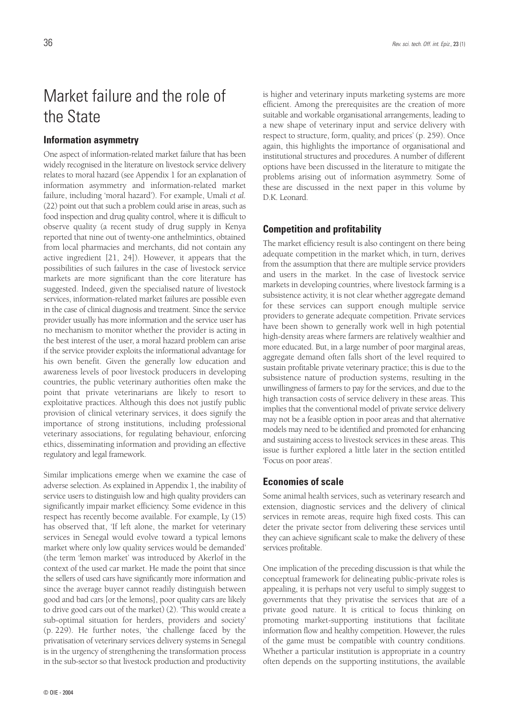# Market failure and the role of the State

### **Information asymmetry**

One aspect of information-related market failure that has been widely recognised in the literature on livestock service delivery relates to moral hazard (see Appendix 1 for an explanation of information asymmetry and information-related market failure, including 'moral hazard'). For example, Umali *et al.* (22) point out that such a problem could arise in areas, such as food inspection and drug quality control, where it is difficult to observe quality (a recent study of drug supply in Kenya reported that nine out of twenty-one anthelmintics, obtained from local pharmacies and merchants, did not contain any active ingredient [21, 24]). However, it appears that the possibilities of such failures in the case of livestock service markets are more significant than the core literature has suggested. Indeed, given the specialised nature of livestock services, information-related market failures are possible even in the case of clinical diagnosis and treatment. Since the service provider usually has more information and the service user has no mechanism to monitor whether the provider is acting in the best interest of the user, a moral hazard problem can arise if the service provider exploits the informational advantage for his own benefit. Given the generally low education and awareness levels of poor livestock producers in developing countries, the public veterinary authorities often make the point that private veterinarians are likely to resort to exploitative practices. Although this does not justify public provision of clinical veterinary services, it does signify the importance of strong institutions, including professional veterinary associations, for regulating behaviour, enforcing ethics, disseminating information and providing an effective regulatory and legal framework.

Similar implications emerge when we examine the case of adverse selection. As explained in Appendix 1, the inability of service users to distinguish low and high quality providers can significantly impair market efficiency. Some evidence in this respect has recently become available. For example, Ly (15) has observed that, 'If left alone, the market for veterinary services in Senegal would evolve toward a typical lemons market where only low quality services would be demanded' (the term 'lemon market' was introduced by Akerlof in the context of the used car market. He made the point that since the sellers of used cars have significantly more information and since the average buyer cannot readily distinguish between good and bad cars [or the lemons], poor quality cars are likely to drive good cars out of the market) (2). 'This would create a sub-optimal situation for herders, providers and society' (p. 229). He further notes, 'the challenge faced by the privatisation of veterinary services delivery systems in Senegal is in the urgency of strengthening the transformation process in the sub-sector so that livestock production and productivity

is higher and veterinary inputs marketing systems are more efficient. Among the prerequisites are the creation of more suitable and workable organisational arrangements, leading to a new shape of veterinary input and service delivery with respect to structure, form, quality, and prices' (p. 259). Once again, this highlights the importance of organisational and institutional structures and procedures. A number of different options have been discussed in the literature to mitigate the problems arising out of information asymmetry. Some of these are discussed in the next paper in this volume by D.K. Leonard.

#### **Competition and profitability**

The market efficiency result is also contingent on there being adequate competition in the market which, in turn, derives from the assumption that there are multiple service providers and users in the market. In the case of livestock service markets in developing countries, where livestock farming is a subsistence activity, it is not clear whether aggregate demand for these services can support enough multiple service providers to generate adequate competition. Private services have been shown to generally work well in high potential high-density areas where farmers are relatively wealthier and more educated. But, in a large number of poor marginal areas, aggregate demand often falls short of the level required to sustain profitable private veterinary practice; this is due to the subsistence nature of production systems, resulting in the unwillingness of farmers to pay for the services, and due to the high transaction costs of service delivery in these areas. This implies that the conventional model of private service delivery may not be a feasible option in poor areas and that alternative models may need to be identified and promoted for enhancing and sustaining access to livestock services in these areas. This issue is further explored a little later in the section entitled 'Focus on poor areas'.

#### **Economies of scale**

Some animal health services, such as veterinary research and extension, diagnostic services and the delivery of clinical services in remote areas, require high fixed costs. This can deter the private sector from delivering these services until they can achieve significant scale to make the delivery of these services profitable.

One implication of the preceding discussion is that while the conceptual framework for delineating public-private roles is appealing, it is perhaps not very useful to simply suggest to governments that they privatise the services that are of a private good nature. It is critical to focus thinking on promoting market-supporting institutions that facilitate information flow and healthy competition. However, the rules of the game must be compatible with country conditions. Whether a particular institution is appropriate in a country often depends on the supporting institutions, the available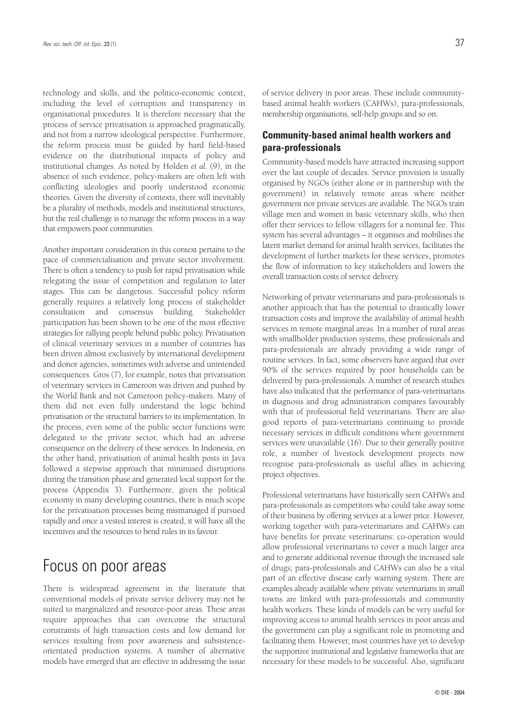technology and skills, and the politico-economic context, including the level of corruption and transparency in organisational procedures. It is therefore necessary that the process of service privatisation is approached pragmatically, and not from a narrow ideological perspective. Furthermore, the reform process must be guided by hard field-based evidence on the distributional impacts of policy and institutional changes. As noted by Holden *et al.* (9), in the absence of such evidence, policy-makers are often left with conflicting ideologies and poorly understood economic theories. Given the diversity of contexts, there will inevitably be a plurality of methods, models and institutional structures, but the real challenge is to manage the reform process in a way that empowers poor communities.

Another important consideration in this context pertains to the pace of commercialisation and private sector involvement. There is often a tendency to push for rapid privatisation while relegating the issue of competition and regulation to later stages. This can be dangerous. Successful policy reform generally requires a relatively long process of stakeholder consultation and consensus building. Stakeholder participation has been shown to be one of the most effective strategies for rallying people behind public policy. Privatisation of clinical veterinary services in a number of countries has been driven almost exclusively by international development and donor agencies, sometimes with adverse and unintended consequences. Gros (7), for example, notes that privatisation of veterinary services in Cameroon was driven and pushed by the World Bank and not Cameroon policy-makers. Many of them did not even fully understand the logic behind privatisation or the structural barriers to its implementation. In the process, even some of the public sector functions were delegated to the private sector, which had an adverse consequence on the delivery of these services. In Indonesia, on the other hand, privatisation of animal health posts in Java followed a stepwise approach that minimised disruptions during the transition phase and generated local support for the process (Appendix 3). Furthermore, given the political economy in many developing countries, there is much scope for the privatisation processes being mismanaged if pursued rapidly and once a vested interest is created, it will have all the incentives and the resources to bend rules in its favour.

### Focus on poor areas

There is widespread agreement in the literature that conventional models of private service delivery may not be suited to marginalized and resource-poor areas. These areas require approaches that can overcome the structural constraints of high transaction costs and low demand for services resulting from poor awareness and subsistenceorientated production systems. A number of alternative models have emerged that are effective in addressing the issue of service delivery in poor areas. These include communitybased animal health workers (CAHWs), para-professionals, membership organisations, self-help groups and so on.

### **Community-based animal health workers and para-professionals**

Community-based models have attracted increasing support over the last couple of decades. Service provision is usually organised by NGOs (either alone or in partnership with the government) in relatively remote areas where neither government nor private services are available. The NGOs train village men and women in basic veterinary skills, who then offer their services to fellow villagers for a nominal fee. This system has several advantages – it organises and mobilises the latent market demand for animal health services, facilitates the development of further markets for these services, promotes the flow of information to key stakeholders and lowers the overall transaction costs of service delivery.

Networking of private veterinarians and para-professionals is another approach that has the potential to drastically lower transaction costs and improve the availability of animal health services in remote marginal areas. In a number of rural areas with smallholder production systems, these professionals and para-professionals are already providing a wide range of routine services. In fact, some observers have argued that over 90% of the services required by poor households can be delivered by para-professionals. A number of research studies have also indicated that the performance of para-veterinarians in diagnosis and drug administration compares favourably with that of professional field veterinarians. There are also good reports of para-veterinarians continuing to provide necessary services in difficult conditions where government services were unavailable (16). Due to their generally positive role, a number of livestock development projects now recognise para-professionals as useful allies in achieving project objectives.

Professional veterinarians have historically seen CAHWs and para-professionals as competitors who could take away some of their business by offering services at a lower price. However, working together with para-veterinarians and CAHWs can have benefits for private veterinarians: co-operation would allow professional veterinarians to cover a much larger area and to generate additional revenue through the increased sale of drugs; para-professionals and CAHWs can also be a vital part of an effective disease early warning system. There are examples already available where private veterinarians in small towns are linked with para-professionals and community health workers. These kinds of models can be very useful for improving access to animal health services in poor areas and the government can play a significant role in promoting and facilitating them. However, most countries have yet to develop the supportive institutional and legislative frameworks that are necessary for these models to be successful. Also, significant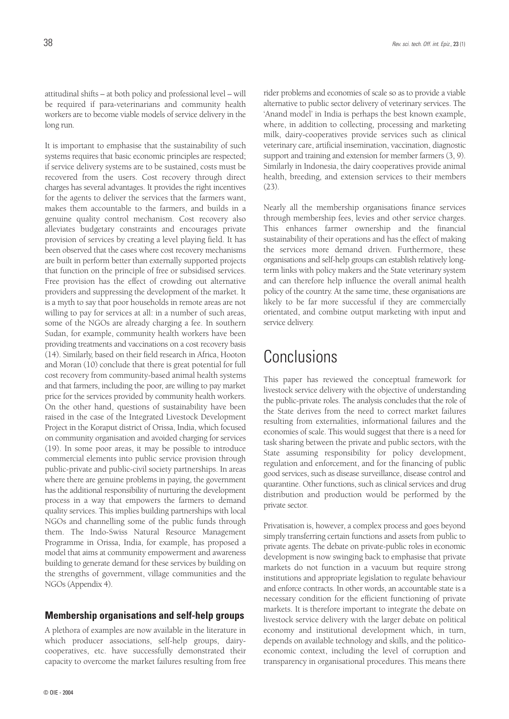attitudinal shifts – at both policy and professional level – will be required if para-veterinarians and community health workers are to become viable models of service delivery in the long run.

It is important to emphasise that the sustainability of such systems requires that basic economic principles are respected; if service delivery systems are to be sustained, costs must be recovered from the users. Cost recovery through direct charges has several advantages. It provides the right incentives for the agents to deliver the services that the farmers want, makes them accountable to the farmers, and builds in a genuine quality control mechanism. Cost recovery also alleviates budgetary constraints and encourages private provision of services by creating a level playing field. It has been observed that the cases where cost recovery mechanisms are built in perform better than externally supported projects that function on the principle of free or subsidised services. Free provision has the effect of crowding out alternative providers and suppressing the development of the market. It is a myth to say that poor households in remote areas are not willing to pay for services at all: in a number of such areas, some of the NGOs are already charging a fee. In southern Sudan, for example, community health workers have been providing treatments and vaccinations on a cost recovery basis (14). Similarly, based on their field research in Africa, Hooton and Moran (10) conclude that there is great potential for full cost recovery from community-based animal health systems and that farmers, including the poor, are willing to pay market price for the services provided by community health workers. On the other hand, questions of sustainability have been raised in the case of the Integrated Livestock Development Project in the Koraput district of Orissa, India, which focused on community organisation and avoided charging for services (19). In some poor areas, it may be possible to introduce commercial elements into public service provision through public-private and public-civil society partnerships. In areas where there are genuine problems in paying, the government has the additional responsibility of nurturing the development process in a way that empowers the farmers to demand quality services. This implies building partnerships with local NGOs and channelling some of the public funds through them. The Indo-Swiss Natural Resource Management Programme in Orissa, India, for example, has proposed a model that aims at community empowerment and awareness building to generate demand for these services by building on the strengths of government, village communities and the NGOs (Appendix 4).

#### **Membership organisations and self-help groups**

A plethora of examples are now available in the literature in which producer associations, self-help groups, dairycooperatives, etc. have successfully demonstrated their capacity to overcome the market failures resulting from free

rider problems and economies of scale so as to provide a viable alternative to public sector delivery of veterinary services. The 'Anand model' in India is perhaps the best known example, where, in addition to collecting, processing and marketing milk, dairy-cooperatives provide services such as clinical veterinary care, artificial insemination, vaccination, diagnostic support and training and extension for member farmers (3, 9). Similarly in Indonesia, the dairy cooperatives provide animal health, breeding, and extension services to their members (23).

Nearly all the membership organisations finance services through membership fees, levies and other service charges. This enhances farmer ownership and the financial sustainability of their operations and has the effect of making the services more demand driven. Furthermore, these organisations and self-help groups can establish relatively longterm links with policy makers and the State veterinary system and can therefore help influence the overall animal health policy of the country. At the same time, these organisations are likely to be far more successful if they are commercially orientated, and combine output marketing with input and service delivery.

## Conclusions

This paper has reviewed the conceptual framework for livestock service delivery with the objective of understanding the public-private roles. The analysis concludes that the role of the State derives from the need to correct market failures resulting from externalities, informational failures and the economies of scale. This would suggest that there is a need for task sharing between the private and public sectors, with the State assuming responsibility for policy development, regulation and enforcement, and for the financing of public good services, such as disease surveillance, disease control and quarantine. Other functions, such as clinical services and drug distribution and production would be performed by the private sector.

Privatisation is, however, a complex process and goes beyond simply transferring certain functions and assets from public to private agents. The debate on private-public roles in economic development is now swinging back to emphasise that private markets do not function in a vacuum but require strong institutions and appropriate legislation to regulate behaviour and enforce contracts. In other words, an accountable state is a necessary condition for the efficient functioning of private markets. It is therefore important to integrate the debate on livestock service delivery with the larger debate on political economy and institutional development which, in turn, depends on available technology and skills, and the politicoeconomic context, including the level of corruption and transparency in organisational procedures. This means there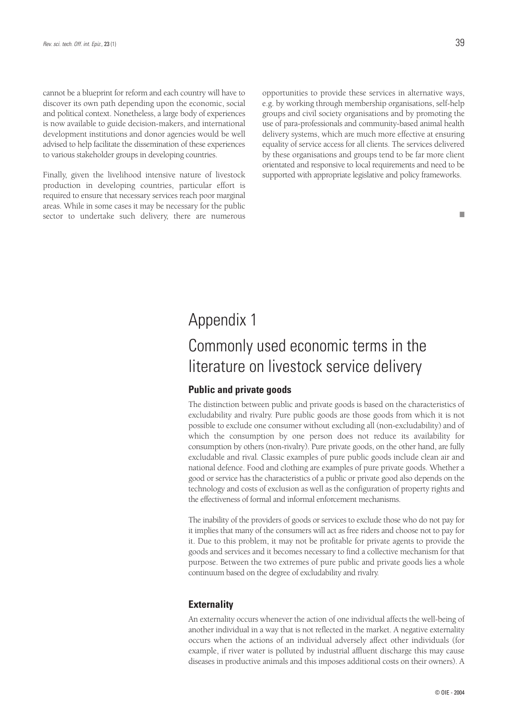cannot be a blueprint for reform and each country will have to discover its own path depending upon the economic, social and political context. Nonetheless, a large body of experiences is now available to guide decision-makers, and international development institutions and donor agencies would be well advised to help facilitate the dissemination of these experiences to various stakeholder groups in developing countries.

Finally, given the livelihood intensive nature of livestock production in developing countries, particular effort is required to ensure that necessary services reach poor marginal areas. While in some cases it may be necessary for the public sector to undertake such delivery, there are numerous

opportunities to provide these services in alternative ways, e.g. by working through membership organisations, self-help groups and civil society organisations and by promoting the use of para-professionals and community-based animal health delivery systems, which are much more effective at ensuring equality of service access for all clients. The services delivered by these organisations and groups tend to be far more client orientated and responsive to local requirements and need to be supported with appropriate legislative and policy frameworks.

# Appendix 1

# Commonly used economic terms in the literature on livestock service delivery

### **Public and private goods**

The distinction between public and private goods is based on the characteristics of excludability and rivalry. Pure public goods are those goods from which it is not possible to exclude one consumer without excluding all (non-excludability) and of which the consumption by one person does not reduce its availability for consumption by others (non-rivalry). Pure private goods, on the other hand, are fully excludable and rival*.* Classic examples of pure public goods include clean air and national defence. Food and clothing are examples of pure private goods. Whether a good or service has the characteristics of a public or private good also depends on the technology and costs of exclusion as well as the configuration of property rights and the effectiveness of formal and informal enforcement mechanisms.

The inability of the providers of goods or services to exclude those who do not pay for it implies that many of the consumers will act as free riders and choose not to pay for it. Due to this problem, it may not be profitable for private agents to provide the goods and services and it becomes necessary to find a collective mechanism for that purpose. Between the two extremes of pure public and private goods lies a whole continuum based on the degree of excludability and rivalry.

### **Externality**

An externality occurs whenever the action of one individual affects the well-being of another individual in a way that is not reflected in the market. A negative externality occurs when the actions of an individual adversely affect other individuals (for example, if river water is polluted by industrial affluent discharge this may cause diseases in productive animals and this imposes additional costs on their owners). A

■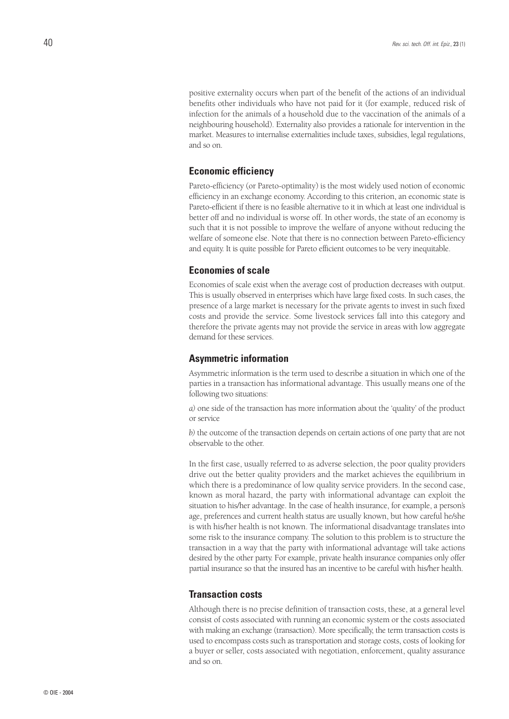positive externality occurs when part of the benefit of the actions of an individual benefits other individuals who have not paid for it (for example, reduced risk of infection for the animals of a household due to the vaccination of the animals of a neighbouring household). Externality also provides a rationale for intervention in the market. Measures to internalise externalities include taxes, subsidies, legal regulations, and so on.

### **Economic efficiency**

Pareto-efficiency (or Pareto-optimality) is the most widely used notion of economic efficiency in an exchange economy. According to this criterion, an economic state is Pareto-efficient if there is no feasible alternative to it in which at least one individual is better off and no individual is worse off. In other words, the state of an economy is such that it is not possible to improve the welfare of anyone without reducing the welfare of someone else. Note that there is no connection between Pareto-efficiency and equity. It is quite possible for Pareto efficient outcomes to be very inequitable.

#### **Economies of scale**

Economies of scale exist when the average cost of production decreases with output. This is usually observed in enterprises which have large fixed costs. In such cases, the presence of a large market is necessary for the private agents to invest in such fixed costs and provide the service. Some livestock services fall into this category and therefore the private agents may not provide the service in areas with low aggregate demand for these services.

#### **Asymmetric information**

Asymmetric information is the term used to describe a situation in which one of the parties in a transaction has informational advantage. This usually means one of the following two situations:

*a)* one side of the transaction has more information about the 'quality' of the product or service

*b)* the outcome of the transaction depends on certain actions of one party that are not observable to the other.

In the first case, usually referred to as adverse selection, the poor quality providers drive out the better quality providers and the market achieves the equilibrium in which there is a predominance of low quality service providers. In the second case, known as moral hazard, the party with informational advantage can exploit the situation to his/her advantage. In the case of health insurance, for example, a person's age, preferences and current health status are usually known, but how careful he/she is with his/her health is not known. The informational disadvantage translates into some risk to the insurance company. The solution to this problem is to structure the transaction in a way that the party with informational advantage will take actions desired by the other party. For example, private health insurance companies only offer partial insurance so that the insured has an incentive to be careful with his/her health.

### **Transaction costs**

Although there is no precise definition of transaction costs, these, at a general level consist of costs associated with running an economic system or the costs associated with making an exchange (transaction). More specifically, the term transaction costs is used to encompass costs such as transportation and storage costs, costs of looking for a buyer or seller, costs associated with negotiation, enforcement, quality assurance and so on.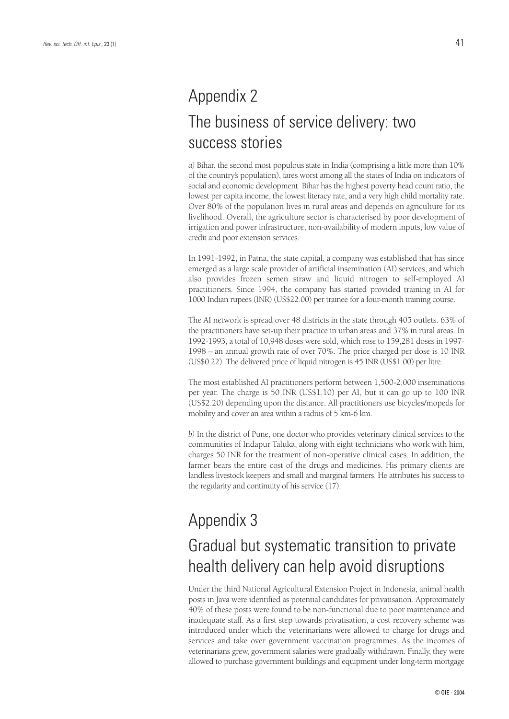# Appendix 2 The business of service delivery: two success stories

*a)* Bihar, the second most populous state in India (comprising a little more than 10% of the country's population), fares worst among all the states of India on indicators of social and economic development. Bihar has the highest poverty head count ratio, the lowest per capita income, the lowest literacy rate, and a very high child mortality rate. Over 80% of the population lives in rural areas and depends on agriculture for its livelihood. Overall, the agriculture sector is characterised by poor development of irrigation and power infrastructure, non-availability of modern inputs, low value of credit and poor extension services.

In 1991-1992, in Patna, the state capital, a company was established that has since emerged as a large scale provider of artificial insemination (AI) services, and which also provides frozen semen straw and liquid nitrogen to self-employed AI practitioners. Since 1994, the company has started provided training in AI for 1000 Indian rupees (INR) (US\$22.00) per trainee for a four-month training course.

The AI network is spread over 48 districts in the state through 405 outlets. 63% of the practitioners have set-up their practice in urban areas and 37% in rural areas. In 1992-1993, a total of 10,948 doses were sold, which rose to 159,281 doses in 1997- 1998 – an annual growth rate of over 70%. The price charged per dose is 10 INR (US\$0.22). The delivered price of liquid nitrogen is 45 INR (US\$1.00) per litre.

The most established AI practitioners perform between 1,500-2,000 inseminations per year. The charge is 50 INR (US\$1.10) per AI, but it can go up to 100 INR (US\$2.20) depending upon the distance. All practitioners use bicycles/mopeds for mobility and cover an area within a radius of 5 km-6 km.

*b)* In the district of Pune, one doctor who provides veterinary clinical services to the communities of Indapur Taluka, along with eight technicians who work with him, charges 50 INR for the treatment of non-operative clinical cases. In addition, the farmer bears the entire cost of the drugs and medicines. His primary clients are landless livestock keepers and small and marginal farmers. He attributes his success to the regularity and continuity of his service (17).

# Appendix 3

# Gradual but systematic transition to private health delivery can help avoid disruptions

Under the third National Agricultural Extension Project in Indonesia, animal health posts in Java were identified as potential candidates for privatisation. Approximately 40% of these posts were found to be non-functional due to poor maintenance and inadequate staff. As a first step towards privatisation, a cost recovery scheme was introduced under which the veterinarians were allowed to charge for drugs and services and take over government vaccination programmes. As the incomes of veterinarians grew, government salaries were gradually withdrawn. Finally, they were allowed to purchase government buildings and equipment under long-term mortgage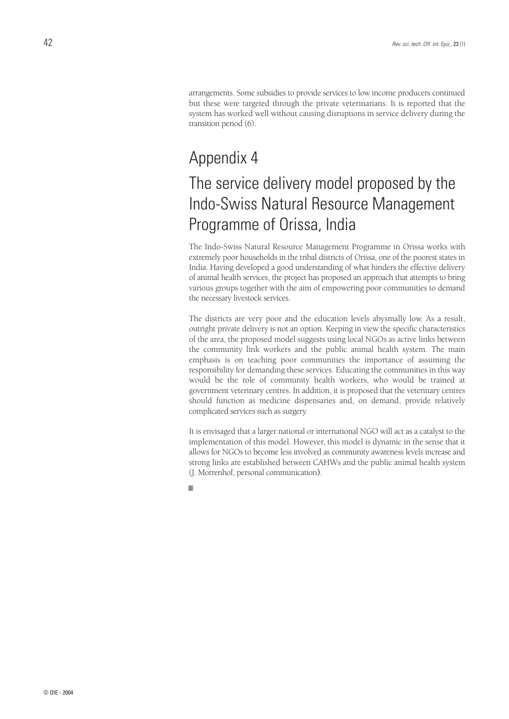arrangements. Some subsidies to provide services to low income producers continued but these were targeted through the private veterinarians. It is reported that the system has worked well without causing disruptions in service delivery during the transition period (6).

## Appendix 4

# The service delivery model proposed by the Indo-Swiss Natural Resource Management Programme of Orissa, India

The Indo-Swiss Natural Resource Management Programme in Orissa works with extremely poor households in the tribal districts of Orissa, one of the poorest states in India. Having developed a good understanding of what hinders the effective delivery of animal health services, the project has proposed an approach that attempts to bring various groups together with the aim of empowering poor communities to demand the necessary livestock services.

The districts are very poor and the education levels abysmally low. As a result, outright private delivery is not an option. Keeping in view the specific characteristics of the area, the proposed model suggests using local NGOs as active links between the community link workers and the public animal health system. The main emphasis is on teaching poor communities the importance of assuming the responsibility for demanding these services. Educating the communities in this way would be the role of community health workers, who would be trained at government veterinary centres. In addition, it is proposed that the veterinary centres should function as medicine dispensaries and, on demand, provide relatively complicated services such as surgery.

It is envisaged that a larger national or international NGO will act as a catalyst to the implementation of this model. However, this model is dynamic in the sense that it allows for NGOs to become less involved as community awareness levels increase and strong links are established between CAHWs and the public animal health system (J. Morrenhof, personal communication**)**.

■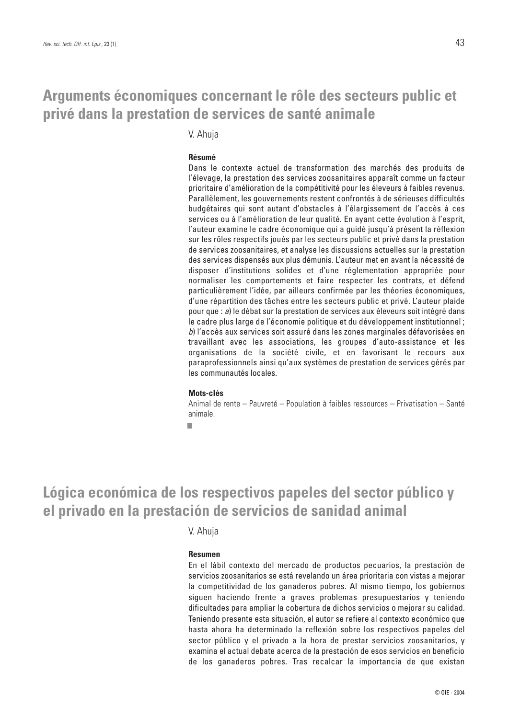## **Arguments économiques concernant le rôle des secteurs public et privé dans la prestation de services de santé animale**

V. Ahuja

#### **Résumé**

Dans le contexte actuel de transformation des marchés des produits de l'élevage, la prestation des services zoosanitaires apparaît comme un facteur prioritaire d'amélioration de la compétitivité pour les éleveurs à faibles revenus. Parallèlement, les gouvernements restent confrontés à de sérieuses difficultés budgétaires qui sont autant d'obstacles à l'élargissement de l'accès à ces services ou à l'amélioration de leur qualité. En ayant cette évolution à l'esprit, l'auteur examine le cadre économique qui a guidé jusqu'à présent la réflexion sur les rôles respectifs joués par les secteurs public et privé dans la prestation de services zoosanitaires, et analyse les discussions actuelles sur la prestation des services dispensés aux plus démunis. L'auteur met en avant la nécessité de disposer d'institutions solides et d'une réglementation appropriée pour normaliser les comportements et faire respecter les contrats, et défend particulièrement l'idée, par ailleurs confirmée par les théories économiques, d'une répartition des tâches entre les secteurs public et privé. L'auteur plaide pour que : *a*) le débat sur la prestation de services aux éleveurs soit intégré dans le cadre plus large de l'économie politique et du développement institutionnel ; *b*) l'accès aux services soit assuré dans les zones marginales défavorisées en travaillant avec les associations, les groupes d'auto-assistance et les organisations de la société civile, et en favorisant le recours aux paraprofessionnels ainsi qu'aux systèmes de prestation de services gérés par les communautés locales.

#### **Mots-clés**

Animal de rente – Pauvreté – Population à faibles ressources – Privatisation – Santé animale.

■

## **Lógica económica de los respectivos papeles del sector público y el privado en la prestación de servicios de sanidad animal**

V. Ahuja

#### **Resumen**

En el lábil contexto del mercado de productos pecuarios, la prestación de servicios zoosanitarios se está revelando un área prioritaria con vistas a mejorar la competitividad de los ganaderos pobres. Al mismo tiempo, los gobiernos siguen haciendo frente a graves problemas presupuestarios y teniendo dificultades para ampliar la cobertura de dichos servicios o mejorar su calidad. Teniendo presente esta situación, el autor se refiere al contexto económico que hasta ahora ha determinado la reflexión sobre los respectivos papeles del sector público y el privado a la hora de prestar servicios zoosanitarios, y examina el actual debate acerca de la prestación de esos servicios en beneficio de los ganaderos pobres. Tras recalcar la importancia de que existan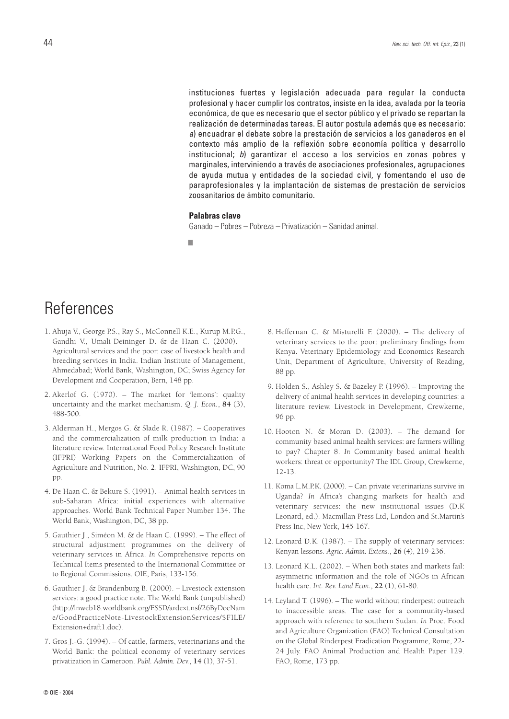instituciones fuertes y legislación adecuada para regular la conducta profesional y hacer cumplir los contratos, insiste en la idea, avalada por la teoría económica, de que es necesario que el sector público y el privado se repartan la realización de determinadas tareas. El autor postula además que es necesario: *a*) encuadrar el debate sobre la prestación de servicios a los ganaderos en el contexto más amplio de la reflexión sobre economía política y desarrollo institucional; *b*) garantizar el acceso a los servicios en zonas pobres y marginales, interviniendo a través de asociaciones profesionales, agrupaciones de ayuda mutua y entidades de la sociedad civil, y fomentando el uso de paraprofesionales y la implantación de sistemas de prestación de servicios zoosanitarios de ámbito comunitario.

### **Palabras clave**

Ganado – Pobres – Pobreza – Privatización – Sanidad animal.

■

# References

- 1. Ahuja V., George P.S., Ray S., McConnell K.E., Kurup M.P.G., Gandhi V., Umali-Deininger D. & de Haan C. (2000). – Agricultural services and the poor: case of livestock health and breeding services in India. Indian Institute of Management, Ahmedabad; World Bank, Washington, DC; Swiss Agency for Development and Cooperation, Bern, 148 pp.
- 2. Akerlof G. (1970). The market for 'lemons': quality uncertainty and the market mechanism. *Q. J. Econ.*, **84** (3), 488-500.
- 3. Alderman H., Mergos G. & Slade R. (1987). Cooperatives and the commercialization of milk production in India: a literature review. International Food Policy Research Institute (IFPRI) Working Papers on the Commercialization of Agriculture and Nutrition, No. 2. IFPRI, Washington, DC, 90 p<sub>p</sub>
- 4. De Haan C. & Bekure S. (1991). Animal health services in sub-Saharan Africa: initial experiences with alternative approaches. World Bank Technical Paper Number 134. The World Bank, Washington, DC, 38 pp.
- 5. Gauthier J., Siméon M. & de Haan C. (1999). The effect of structural adjustment programmes on the delivery of veterinary services in Africa. *In* Comprehensive reports on Technical Items presented to the International Committee or to Regional Commissions. OIE, Paris, 133-156.
- 6. Gauthier J. & Brandenburg B. (2000). Livestock extension services: a good practice note. The World Bank (unpublished) (http://lnweb18.worldbank.org/ESSD/ardext.nsf/26ByDocNam e/GoodPracticeNote-LivestockExtensionServices/\$FILE/ Extension+draft1.doc).
- 7. Gros J.-G. (1994). Of cattle, farmers, veterinarians and the World Bank: the political economy of veterinary services privatization in Cameroon. *Publ. Admin. Dev.*, **14** (1), 37-51.
- 8. Heffernan C. & Misturelli F. (2000). The delivery of veterinary services to the poor: preliminary findings from Kenya. Veterinary Epidemiology and Economics Research Unit, Department of Agriculture, University of Reading, 88 pp.
- 9. Holden S., Ashley S. & Bazeley P. (1996). Improving the delivery of animal health services in developing countries: a literature review. Livestock in Development, Crewkerne, 96 pp.
- 10. Hooton N. & Moran D. (2003). The demand for community based animal health services: are farmers willing to pay? Chapter 8. *In* Community based animal health workers: threat or opportunity? The IDL Group, Crewkerne, 12-13.
- 11. Koma L.M.P.K. (2000). Can private veterinarians survive in Uganda? *In* Africa's changing markets for health and veterinary services: the new institutional issues (D.K Leonard, ed.). Macmillan Press Ltd, London and St.Martin's Press Inc, New York, 145-167.
- 12. Leonard D.K. (1987). The supply of veterinary services: Kenyan lessons. *Agric. Admin. Extens.*, **26** (4), 219-236.
- 13. Leonard K.L. (2002). When both states and markets fail: asymmetric information and the role of NGOs in African health care. *Int. Rev. Land Econ.*, **22** (1), 61-80.
- 14. Leyland T. (1996). The world without rinderpest: outreach to inaccessible areas. The case for a community-based approach with reference to southern Sudan. *In* Proc. Food and Agriculture Organization (FAO) Technical Consultation on the Global Rinderpest Eradication Programme, Rome, 22- 24 July. FAO Animal Production and Health Paper 129. FAO, Rome, 173 pp.